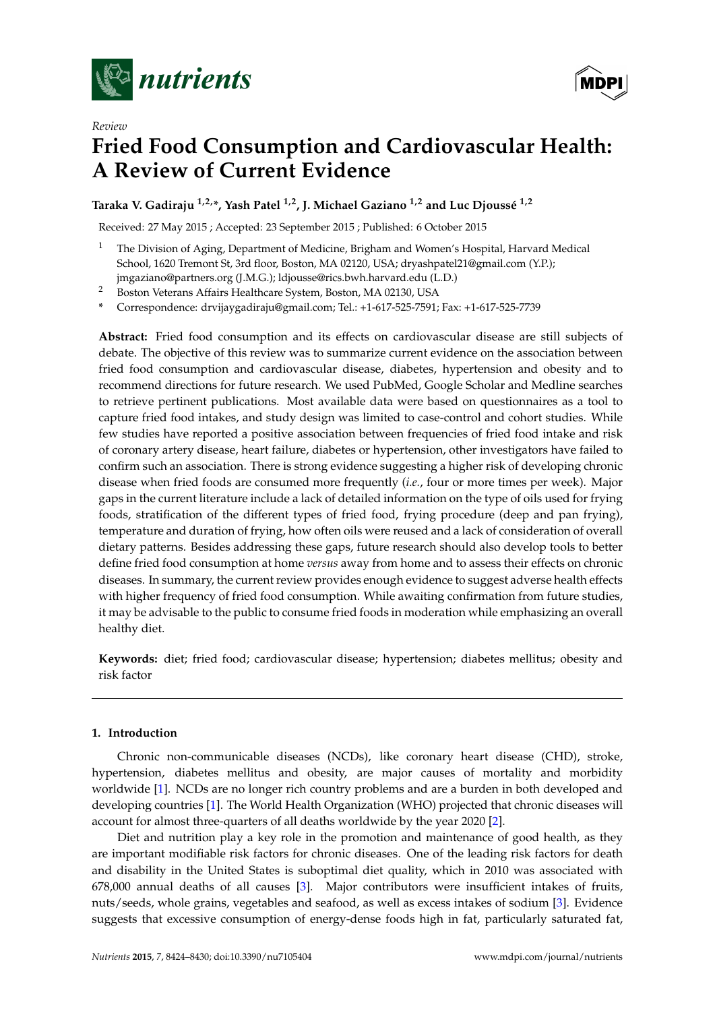

*Review*

**MDPI** 

# **Fried Food Consumption and Cardiovascular Health: A Review of Current Evidence**

**Taraka V. Gadiraju 1,2,\*, Yash Patel 1,2, J. Michael Gaziano 1,2 and Luc Djoussé 1,2**

Received: 27 May 2015 ; Accepted: 23 September 2015 ; Published: 6 October 2015

<sup>1</sup> The Division of Aging, Department of Medicine, Brigham and Women's Hospital, Harvard Medical School, 1620 Tremont St, 3rd floor, Boston, MA 02120, USA; dryashpatel21@gmail.com (Y.P.); jmgaziano@partners.org (J.M.G.); ldjousse@rics.bwh.harvard.edu (L.D.)

<sup>2</sup> Boston Veterans Affairs Healthcare System, Boston, MA 02130, USA

**\*** Correspondence: drvijaygadiraju@gmail.com; Tel.: +1-617-525-7591; Fax: +1-617-525-7739

**Abstract:** Fried food consumption and its effects on cardiovascular disease are still subjects of debate. The objective of this review was to summarize current evidence on the association between fried food consumption and cardiovascular disease, diabetes, hypertension and obesity and to recommend directions for future research. We used PubMed, Google Scholar and Medline searches to retrieve pertinent publications. Most available data were based on questionnaires as a tool to capture fried food intakes, and study design was limited to case-control and cohort studies. While few studies have reported a positive association between frequencies of fried food intake and risk of coronary artery disease, heart failure, diabetes or hypertension, other investigators have failed to confirm such an association. There is strong evidence suggesting a higher risk of developing chronic disease when fried foods are consumed more frequently (*i.e.*, four or more times per week). Major gaps in the current literature include a lack of detailed information on the type of oils used for frying foods, stratification of the different types of fried food, frying procedure (deep and pan frying), temperature and duration of frying, how often oils were reused and a lack of consideration of overall dietary patterns. Besides addressing these gaps, future research should also develop tools to better define fried food consumption at home *versus* away from home and to assess their effects on chronic diseases. In summary, the current review provides enough evidence to suggest adverse health effects with higher frequency of fried food consumption. While awaiting confirmation from future studies, it may be advisable to the public to consume fried foods in moderation while emphasizing an overall healthy diet.

**Keywords:** diet; fried food; cardiovascular disease; hypertension; diabetes mellitus; obesity and risk factor

## **1. Introduction**

Chronic non-communicable diseases (NCDs), like coronary heart disease (CHD), stroke, hypertension, diabetes mellitus and obesity, are major causes of mortality and morbidity worldwide [\[1\]](#page-4-0). NCDs are no longer rich country problems and are a burden in both developed and developing countries [\[1\]](#page-4-0). The World Health Organization (WHO) projected that chronic diseases will account for almost three-quarters of all deaths worldwide by the year 2020 [\[2\]](#page-4-1).

Diet and nutrition play a key role in the promotion and maintenance of good health, as they are important modifiable risk factors for chronic diseases. One of the leading risk factors for death and disability in the United States is suboptimal diet quality, which in 2010 was associated with 678,000 annual deaths of all causes [\[3\]](#page-4-2). Major contributors were insufficient intakes of fruits, nuts/seeds, whole grains, vegetables and seafood, as well as excess intakes of sodium [\[3\]](#page-4-2). Evidence suggests that excessive consumption of energy-dense foods high in fat, particularly saturated fat,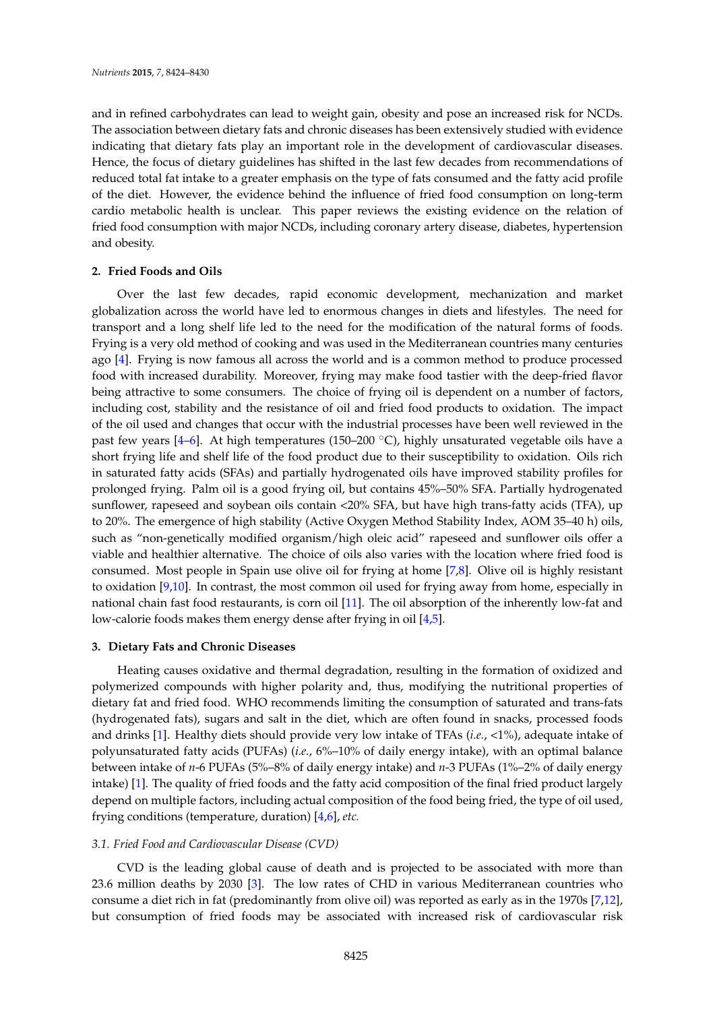and in refined carbohydrates can lead to weight gain, obesity and pose an increased risk for NCDs. The association between dietary fats and chronic diseases has been extensively studied with evidence indicating that dietary fats play an important role in the development of cardiovascular diseases. Hence, the focus of dietary guidelines has shifted in the last few decades from recommendations of reduced total fat intake to a greater emphasis on the type of fats consumed and the fatty acid profile of the diet. However, the evidence behind the influence of fried food consumption on long-term cardio metabolic health is unclear. This paper reviews the existing evidence on the relation of fried food consumption with major NCDs, including coronary artery disease, diabetes, hypertension and obesity.

#### **2. Fried Foods and Oils**

Over the last few decades, rapid economic development, mechanization and market globalization across the world have led to enormous changes in diets and lifestyles. The need for transport and a long shelf life led to the need for the modification of the natural forms of foods. Frying is a very old method of cooking and was used in the Mediterranean countries many centuries ago [\[4\]](#page-4-3). Frying is now famous all across the world and is a common method to produce processed food with increased durability. Moreover, frying may make food tastier with the deep-fried flavor being attractive to some consumers. The choice of frying oil is dependent on a number of factors, including cost, stability and the resistance of oil and fried food products to oxidation. The impact of the oil used and changes that occur with the industrial processes have been well reviewed in the past few years [\[4](#page-4-3)[–6\]](#page-4-4). At high temperatures (150–200  $^{\circ}$ C), highly unsaturated vegetable oils have a short frying life and shelf life of the food product due to their susceptibility to oxidation. Oils rich in saturated fatty acids (SFAs) and partially hydrogenated oils have improved stability profiles for prolonged frying. Palm oil is a good frying oil, but contains 45%–50% SFA. Partially hydrogenated sunflower, rapeseed and soybean oils contain *<*20% SFA, but have high trans-fatty acids (TFA), up to 20%. The emergence of high stability (Active Oxygen Method Stability Index, AOM 35–40 h) oils, such as "non-genetically modified organism/high oleic acid" rapeseed and sunflower oils offer a viable and healthier alternative. The choice of oils also varies with the location where fried food is consumed. Most people in Spain use olive oil for frying at home [\[7,](#page-4-5)[8\]](#page-4-6). Olive oil is highly resistant to oxidation [\[9,](#page-4-7)[10\]](#page-4-8). In contrast, the most common oil used for frying away from home, especially in national chain fast food restaurants, is corn oil [\[11\]](#page-4-9). The oil absorption of the inherently low-fat and low-calorie foods makes them energy dense after frying in oil [\[4,](#page-4-3)[5\]](#page-4-10).

# **3. Dietary Fats and Chronic Diseases**

Heating causes oxidative and thermal degradation, resulting in the formation of oxidized and polymerized compounds with higher polarity and, thus, modifying the nutritional properties of dietary fat and fried food. WHO recommends limiting the consumption of saturated and trans-fats (hydrogenated fats), sugars and salt in the diet, which are often found in snacks, processed foods and drinks [\[1\]](#page-4-0). Healthy diets should provide very low intake of TFAs (*i.e.*, <1%), adequate intake of polyunsaturated fatty acids (PUFAs) (*i.e.*, 6%–10% of daily energy intake), with an optimal balance between intake of *n*-6 PUFAs (5%–8% of daily energy intake) and *n*-3 PUFAs (1%–2% of daily energy intake) [\[1\]](#page-4-0). The quality of fried foods and the fatty acid composition of the final fried product largely depend on multiple factors, including actual composition of the food being fried, the type of oil used, frying conditions (temperature, duration) [\[4](#page-4-3)[,6\]](#page-4-4), *etc.*

#### *3.1. Fried Food and Cardiovascular Disease (CVD)*

CVD is the leading global cause of death and is projected to be associated with more than 23.6 million deaths by 2030 [\[3\]](#page-4-2). The low rates of CHD in various Mediterranean countries who consume a diet rich in fat (predominantly from olive oil) was reported as early as in the 1970s [\[7](#page-4-5)[,12\]](#page-5-0), but consumption of fried foods may be associated with increased risk of cardiovascular risk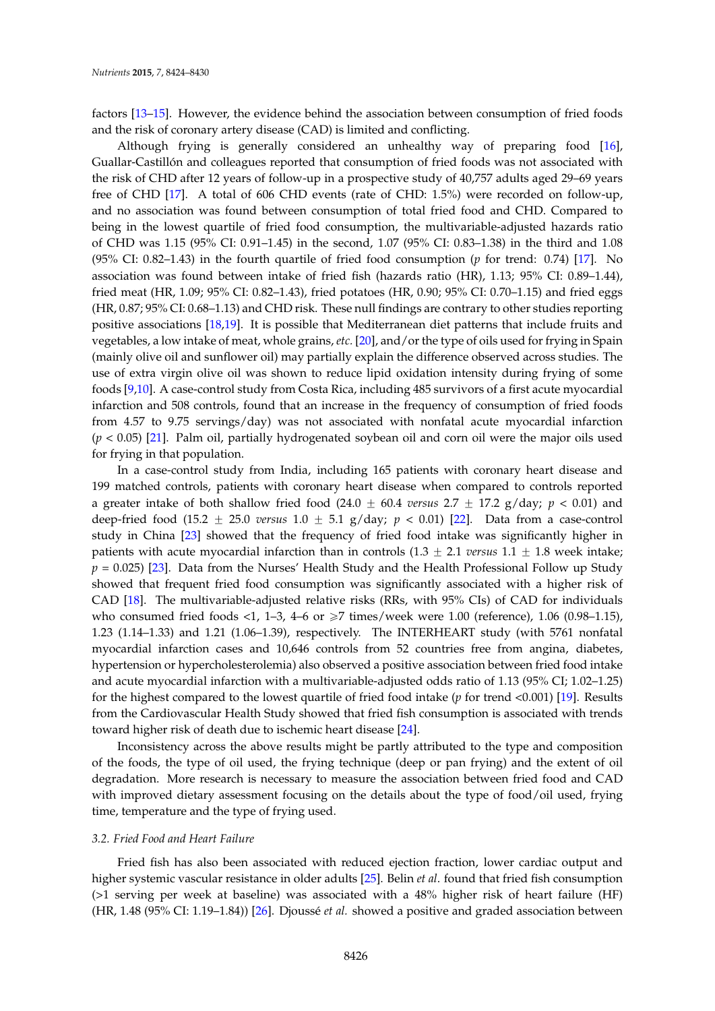factors [\[13–](#page-5-1)[15\]](#page-5-2). However, the evidence behind the association between consumption of fried foods and the risk of coronary artery disease (CAD) is limited and conflicting.

Although frying is generally considered an unhealthy way of preparing food [\[16\]](#page-5-3), Guallar-Castillón and colleagues reported that consumption of fried foods was not associated with the risk of CHD after 12 years of follow-up in a prospective study of 40,757 adults aged 29–69 years free of CHD [\[17\]](#page-5-4). A total of 606 CHD events (rate of CHD: 1.5%) were recorded on follow-up, and no association was found between consumption of total fried food and CHD. Compared to being in the lowest quartile of fried food consumption, the multivariable-adjusted hazards ratio of CHD was 1.15 (95% CI: 0.91–1.45) in the second, 1.07 (95% CI: 0.83–1.38) in the third and 1.08 (95% CI: 0.82–1.43) in the fourth quartile of fried food consumption (*p* for trend: 0.74) [\[17\]](#page-5-4). No association was found between intake of fried fish (hazards ratio (HR), 1.13; 95% CI: 0.89–1.44), fried meat (HR, 1.09; 95% CI: 0.82–1.43), fried potatoes (HR, 0.90; 95% CI: 0.70–1.15) and fried eggs (HR, 0.87; 95% CI: 0.68–1.13) and CHD risk. These null findings are contrary to other studies reporting positive associations [\[18](#page-5-5)[,19\]](#page-5-6). It is possible that Mediterranean diet patterns that include fruits and vegetables, a low intake of meat, whole grains, *etc.* [\[20\]](#page-5-7), and/or the type of oils used for frying in Spain (mainly olive oil and sunflower oil) may partially explain the difference observed across studies. The use of extra virgin olive oil was shown to reduce lipid oxidation intensity during frying of some foods [\[9,](#page-4-7)[10\]](#page-4-8). A case-control study from Costa Rica, including 485 survivors of a first acute myocardial infarction and 508 controls, found that an increase in the frequency of consumption of fried foods from 4.57 to 9.75 servings/day) was not associated with nonfatal acute myocardial infarction (*p* < 0.05) [\[21\]](#page-5-8). Palm oil, partially hydrogenated soybean oil and corn oil were the major oils used for frying in that population.

In a case-control study from India, including 165 patients with coronary heart disease and 199 matched controls, patients with coronary heart disease when compared to controls reported a greater intake of both shallow fried food  $(24.0 \pm 60.4 \text{ versus } 2.7 \pm 17.2 \text{ g/day}; p < 0.01)$  and deep-fried food (15.2  $\pm$  25.0 *versus* 1.0  $\pm$  5.1 g/day;  $p < 0.01$ ) [\[22\]](#page-5-9). Data from a case-control study in China [\[23\]](#page-5-10) showed that the frequency of fried food intake was significantly higher in patients with acute myocardial infarction than in controls  $(1.3 \pm 2.1 \text{ versus } 1.1 \pm 1.8 \text{ week} \text{ intake})$ ;  $p = 0.025$  [\[23\]](#page-5-10). Data from the Nurses' Health Study and the Health Professional Follow up Study showed that frequent fried food consumption was significantly associated with a higher risk of CAD [\[18\]](#page-5-5). The multivariable-adjusted relative risks (RRs, with 95% CIs) of CAD for individuals who consumed fried foods <1, 1–3, 4–6 or  $\geq$ 7 times/week were 1.00 (reference), 1.06 (0.98–1.15), 1.23 (1.14–1.33) and 1.21 (1.06–1.39), respectively. The INTERHEART study (with 5761 nonfatal myocardial infarction cases and 10,646 controls from 52 countries free from angina, diabetes, hypertension or hypercholesterolemia) also observed a positive association between fried food intake and acute myocardial infarction with a multivariable-adjusted odds ratio of 1.13 (95% CI; 1.02–1.25) for the highest compared to the lowest quartile of fried food intake (*p* for trend <0.001) [\[19\]](#page-5-6). Results from the Cardiovascular Health Study showed that fried fish consumption is associated with trends toward higher risk of death due to ischemic heart disease [\[24\]](#page-5-11).

Inconsistency across the above results might be partly attributed to the type and composition of the foods, the type of oil used, the frying technique (deep or pan frying) and the extent of oil degradation. More research is necessary to measure the association between fried food and CAD with improved dietary assessment focusing on the details about the type of food/oil used, frying time, temperature and the type of frying used.

#### *3.2. Fried Food and Heart Failure*

Fried fish has also been associated with reduced ejection fraction, lower cardiac output and higher systemic vascular resistance in older adults [\[25\]](#page-5-12). Belin *et al*. found that fried fish consumption (>1 serving per week at baseline) was associated with a 48% higher risk of heart failure (HF) (HR, 1.48 (95% CI: 1.19–1.84)) [\[26\]](#page-5-13). Djoussé *et al.* showed a positive and graded association between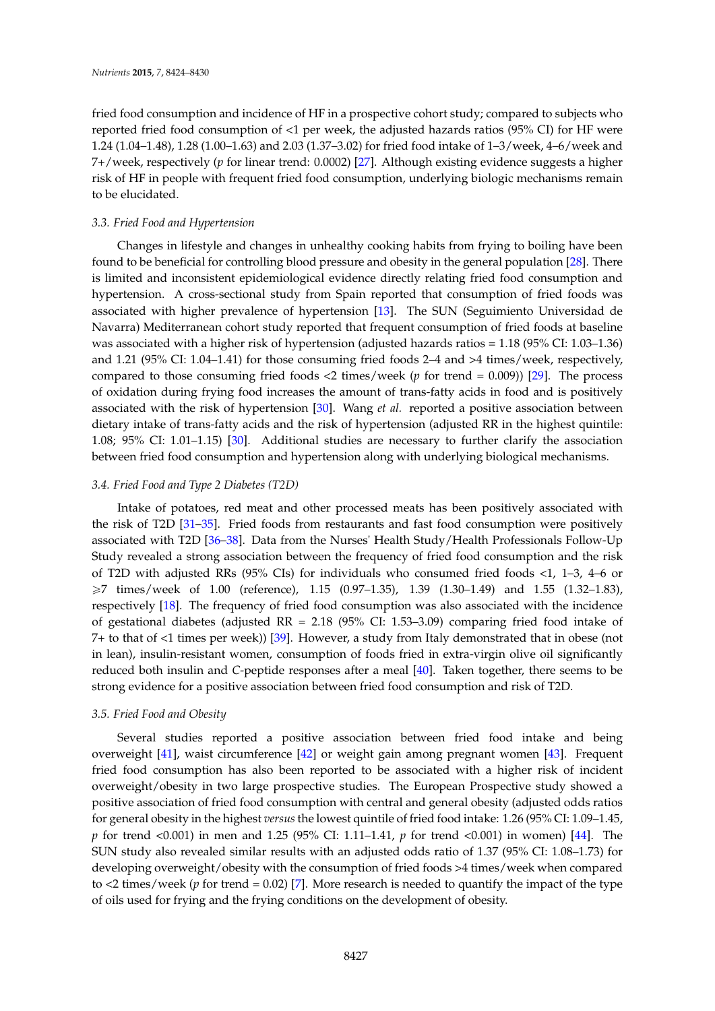fried food consumption and incidence of HF in a prospective cohort study; compared to subjects who reported fried food consumption of <1 per week, the adjusted hazards ratios (95% CI) for HF were 1.24 (1.04–1.48), 1.28 (1.00–1.63) and 2.03 (1.37–3.02) for fried food intake of 1–3/week, 4–6/week and 7+/week, respectively (*p* for linear trend: 0.0002) [\[27\]](#page-5-14). Although existing evidence suggests a higher risk of HF in people with frequent fried food consumption, underlying biologic mechanisms remain to be elucidated.

#### *3.3. Fried Food and Hypertension*

Changes in lifestyle and changes in unhealthy cooking habits from frying to boiling have been found to be beneficial for controlling blood pressure and obesity in the general population [\[28\]](#page-5-15). There is limited and inconsistent epidemiological evidence directly relating fried food consumption and hypertension. A cross-sectional study from Spain reported that consumption of fried foods was associated with higher prevalence of hypertension [\[13\]](#page-5-1). The SUN (Seguimiento Universidad de Navarra) Mediterranean cohort study reported that frequent consumption of fried foods at baseline was associated with a higher risk of hypertension (adjusted hazards ratios = 1.18 (95% CI: 1.03–1.36) and 1.21 (95% CI: 1.04–1.41) for those consuming fried foods 2–4 and >4 times/week, respectively, compared to those consuming fried foods <2 times/week (*p* for trend = 0.009)) [\[29\]](#page-5-16). The process of oxidation during frying food increases the amount of trans-fatty acids in food and is positively associated with the risk of hypertension [\[30\]](#page-5-17). Wang *et al.* reported a positive association between dietary intake of trans-fatty acids and the risk of hypertension (adjusted RR in the highest quintile: 1.08; 95% CI: 1.01–1.15) [\[30\]](#page-5-17). Additional studies are necessary to further clarify the association between fried food consumption and hypertension along with underlying biological mechanisms.

#### *3.4. Fried Food and Type 2 Diabetes (T2D)*

Intake of potatoes, red meat and other processed meats has been positively associated with the risk of T2D [\[31–](#page-6-0)[35\]](#page-6-1). Fried foods from restaurants and fast food consumption were positively associated with T2D [\[36–](#page-6-2)[38\]](#page-6-3). Data from the Nurses' Health Study/Health Professionals Follow-Up Study revealed a strong association between the frequency of fried food consumption and the risk of T2D with adjusted RRs (95% CIs) for individuals who consumed fried foods <1, 1–3, 4–6 or  $\geq$ 7 times/week of 1.00 (reference), 1.15 (0.97–1.35), 1.39 (1.30–1.49) and 1.55 (1.32–1.83), respectively [\[18\]](#page-5-5). The frequency of fried food consumption was also associated with the incidence of gestational diabetes (adjusted RR = 2.18 (95% CI: 1.53–3.09) comparing fried food intake of 7+ to that of <1 times per week)) [\[39\]](#page-6-4). However, a study from Italy demonstrated that in obese (not in lean), insulin-resistant women, consumption of foods fried in extra-virgin olive oil significantly reduced both insulin and *C*-peptide responses after a meal [\[40\]](#page-6-5). Taken together, there seems to be strong evidence for a positive association between fried food consumption and risk of T2D.

## *3.5. Fried Food and Obesity*

Several studies reported a positive association between fried food intake and being overweight [\[41\]](#page-6-6), waist circumference [\[42\]](#page-6-7) or weight gain among pregnant women [\[43\]](#page-6-8). Frequent fried food consumption has also been reported to be associated with a higher risk of incident overweight/obesity in two large prospective studies. The European Prospective study showed a positive association of fried food consumption with central and general obesity (adjusted odds ratios for general obesity in the highest *versus*the lowest quintile of fried food intake: 1.26 (95% CI: 1.09–1.45, *p* for trend <0.001) in men and 1.25 (95% CI: 1.11–1.41, *p* for trend <0.001) in women) [\[44\]](#page-6-9). The SUN study also revealed similar results with an adjusted odds ratio of 1.37 (95% CI: 1.08–1.73) for developing overweight/obesity with the consumption of fried foods >4 times/week when compared to <2 times/week (*p* for trend = 0.02) [\[7\]](#page-4-5). More research is needed to quantify the impact of the type of oils used for frying and the frying conditions on the development of obesity.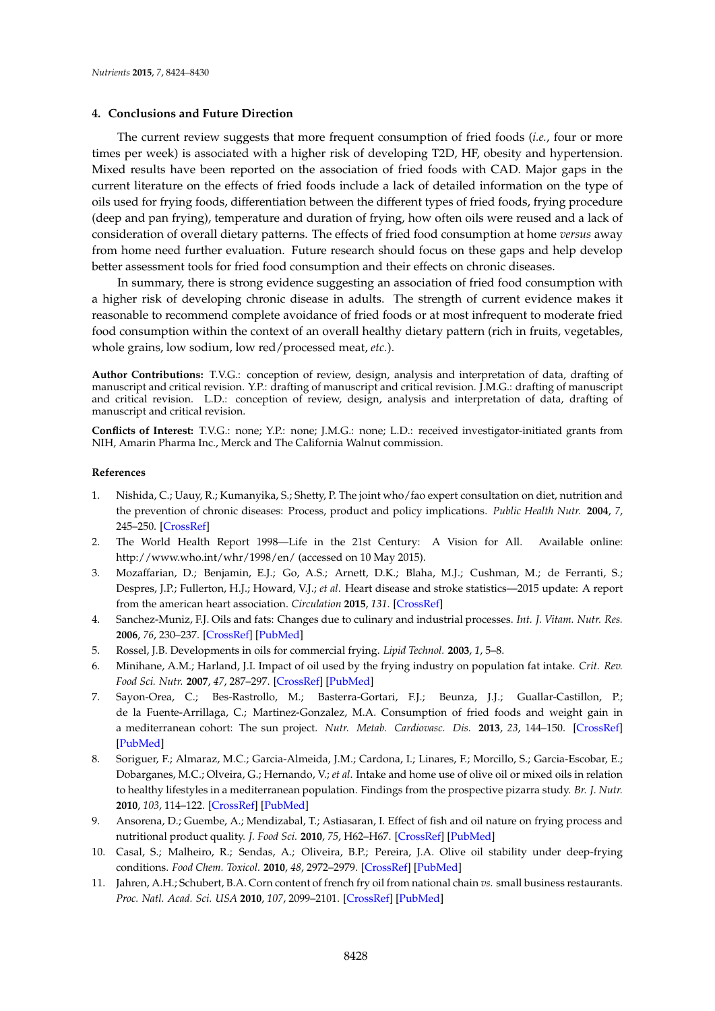## **4. Conclusions and Future Direction**

The current review suggests that more frequent consumption of fried foods (*i.e.*, four or more times per week) is associated with a higher risk of developing T2D, HF, obesity and hypertension. Mixed results have been reported on the association of fried foods with CAD. Major gaps in the current literature on the effects of fried foods include a lack of detailed information on the type of oils used for frying foods, differentiation between the different types of fried foods, frying procedure (deep and pan frying), temperature and duration of frying, how often oils were reused and a lack of consideration of overall dietary patterns. The effects of fried food consumption at home *versus* away from home need further evaluation. Future research should focus on these gaps and help develop better assessment tools for fried food consumption and their effects on chronic diseases.

In summary, there is strong evidence suggesting an association of fried food consumption with a higher risk of developing chronic disease in adults. The strength of current evidence makes it reasonable to recommend complete avoidance of fried foods or at most infrequent to moderate fried food consumption within the context of an overall healthy dietary pattern (rich in fruits, vegetables, whole grains, low sodium, low red/processed meat, *etc.*).

**Author Contributions:** T.V.G.: conception of review, design, analysis and interpretation of data, drafting of manuscript and critical revision. Y.P.: drafting of manuscript and critical revision. J.M.G.: drafting of manuscript and critical revision. L.D.: conception of review, design, analysis and interpretation of data, drafting of manuscript and critical revision.

**Conflicts of Interest:** T.V.G.: none; Y.P.: none; J.M.G.: none; L.D.: received investigator-initiated grants from NIH, Amarin Pharma Inc., Merck and The California Walnut commission.

#### **References**

- <span id="page-4-0"></span>1. Nishida, C.; Uauy, R.; Kumanyika, S.; Shetty, P. The joint who/fao expert consultation on diet, nutrition and the prevention of chronic diseases: Process, product and policy implications. *Public Health Nutr.* **2004**, *7*, 245–250. [\[CrossRef\]](http://dx.doi.org/10.1079/PHN2003592)
- <span id="page-4-1"></span>2. The World Health Report 1998—Life in the 21st Century: A Vision for All. Available online: http://www.who.int/whr/1998/en/ (accessed on 10 May 2015).
- <span id="page-4-2"></span>3. Mozaffarian, D.; Benjamin, E.J.; Go, A.S.; Arnett, D.K.; Blaha, M.J.; Cushman, M.; de Ferranti, S.; Despres, J.P.; Fullerton, H.J.; Howard, V.J.; *et al*. Heart disease and stroke statistics—2015 update: A report from the american heart association. *Circulation* **2015**, *131*. [\[CrossRef\]](http://dx.doi.org/10.1161/CIR.0000000000000157)
- <span id="page-4-3"></span>4. Sanchez-Muniz, F.J. Oils and fats: Changes due to culinary and industrial processes. *Int. J. Vitam. Nutr. Res.* **2006**, *76*, 230–237. [\[CrossRef\]](http://dx.doi.org/10.1024/0300-9831.76.4.230) [\[PubMed\]](http://www.ncbi.nlm.nih.gov/pubmed/17243087)
- <span id="page-4-10"></span>5. Rossel, J.B. Developments in oils for commercial frying. *Lipid Technol.* **2003**, *1*, 5–8.
- <span id="page-4-4"></span>6. Minihane, A.M.; Harland, J.I. Impact of oil used by the frying industry on population fat intake. *Crit. Rev. Food Sci. Nutr.* **2007**, *47*, 287–297. [\[CrossRef\]](http://dx.doi.org/10.1080/10408390600737821) [\[PubMed\]](http://www.ncbi.nlm.nih.gov/pubmed/17453925)
- <span id="page-4-5"></span>7. Sayon-Orea, C.; Bes-Rastrollo, M.; Basterra-Gortari, F.J.; Beunza, J.J.; Guallar-Castillon, P.; de la Fuente-Arrillaga, C.; Martinez-Gonzalez, M.A. Consumption of fried foods and weight gain in a mediterranean cohort: The sun project. *Nutr. Metab. Cardiovasc. Dis.* **2013**, *23*, 144–150. [\[CrossRef\]](http://dx.doi.org/10.1016/j.numecd.2011.03.014) [\[PubMed\]](http://www.ncbi.nlm.nih.gov/pubmed/21824755)
- <span id="page-4-6"></span>8. Soriguer, F.; Almaraz, M.C.; Garcia-Almeida, J.M.; Cardona, I.; Linares, F.; Morcillo, S.; Garcia-Escobar, E.; Dobarganes, M.C.; Olveira, G.; Hernando, V.; *et al*. Intake and home use of olive oil or mixed oils in relation to healthy lifestyles in a mediterranean population. Findings from the prospective pizarra study. *Br. J. Nutr.* **2010**, *103*, 114–122. [\[CrossRef\]](http://dx.doi.org/10.1017/S0007114509991498) [\[PubMed\]](http://www.ncbi.nlm.nih.gov/pubmed/19747416)
- <span id="page-4-7"></span>9. Ansorena, D.; Guembe, A.; Mendizabal, T.; Astiasaran, I. Effect of fish and oil nature on frying process and nutritional product quality. *J. Food Sci.* **2010**, *75*, H62–H67. [\[CrossRef\]](http://dx.doi.org/10.1111/j.1750-3841.2009.01472.x) [\[PubMed\]](http://www.ncbi.nlm.nih.gov/pubmed/20492236)
- <span id="page-4-8"></span>10. Casal, S.; Malheiro, R.; Sendas, A.; Oliveira, B.P.; Pereira, J.A. Olive oil stability under deep-frying conditions. *Food Chem. Toxicol.* **2010**, *48*, 2972–2979. [\[CrossRef\]](http://dx.doi.org/10.1016/j.fct.2010.07.036) [\[PubMed\]](http://www.ncbi.nlm.nih.gov/pubmed/20678538)
- <span id="page-4-9"></span>11. Jahren, A.H.; Schubert, B.A. Corn content of french fry oil from national chain *vs.* small business restaurants. *Proc. Natl. Acad. Sci. USA* **2010**, *107*, 2099–2101. [\[CrossRef\]](http://dx.doi.org/10.1073/pnas.0914437107) [\[PubMed\]](http://www.ncbi.nlm.nih.gov/pubmed/20133856)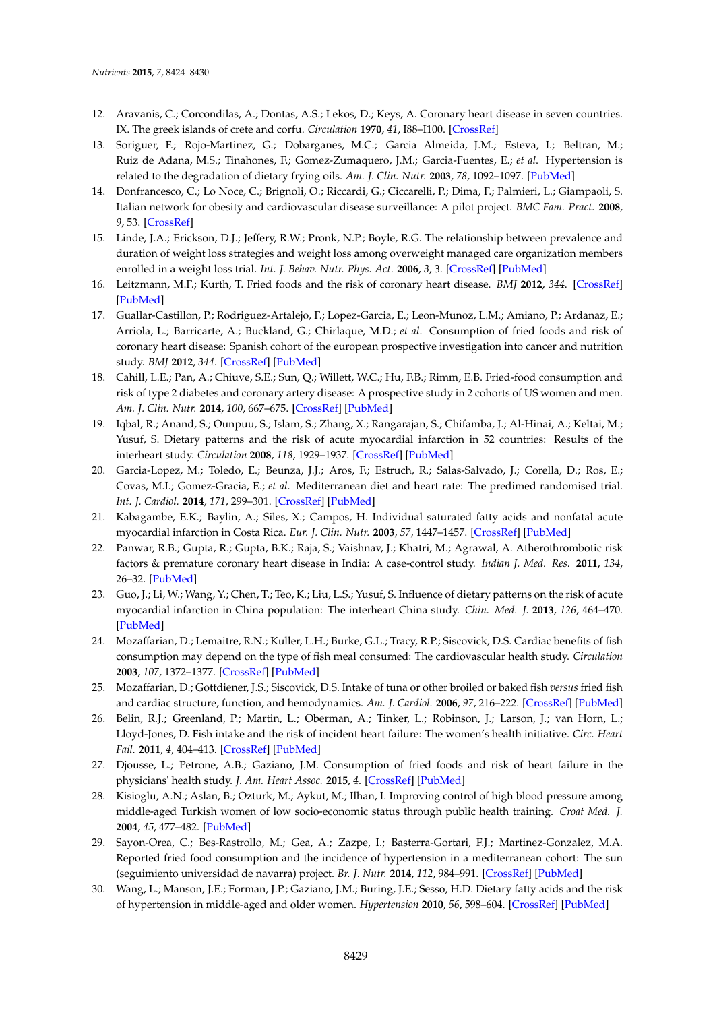- <span id="page-5-0"></span>12. Aravanis, C.; Corcondilas, A.; Dontas, A.S.; Lekos, D.; Keys, A. Coronary heart disease in seven countries. IX. The greek islands of crete and corfu. *Circulation* **1970**, *41*, I88–I100. [\[CrossRef\]](http://dx.doi.org/10.1161/01.CIR.41.4S1.I-88)
- <span id="page-5-1"></span>13. Soriguer, F.; Rojo-Martinez, G.; Dobarganes, M.C.; Garcia Almeida, J.M.; Esteva, I.; Beltran, M.; Ruiz de Adana, M.S.; Tinahones, F.; Gomez-Zumaquero, J.M.; Garcia-Fuentes, E.; *et al*. Hypertension is related to the degradation of dietary frying oils. *Am. J. Clin. Nutr.* **2003**, *78*, 1092–1097. [\[PubMed\]](http://www.ncbi.nlm.nih.gov/pubmed/14668269)
- 14. Donfrancesco, C.; Lo Noce, C.; Brignoli, O.; Riccardi, G.; Ciccarelli, P.; Dima, F.; Palmieri, L.; Giampaoli, S. Italian network for obesity and cardiovascular disease surveillance: A pilot project. *BMC Fam. Pract.* **2008**, *9*, 53. [\[CrossRef\]](http://dx.doi.org/10.1186/1471-2296-9-53)
- <span id="page-5-2"></span>15. Linde, J.A.; Erickson, D.J.; Jeffery, R.W.; Pronk, N.P.; Boyle, R.G. The relationship between prevalence and duration of weight loss strategies and weight loss among overweight managed care organization members enrolled in a weight loss trial. *Int. J. Behav. Nutr. Phys. Act.* **2006**, *3*, 3. [\[CrossRef\]](http://dx.doi.org/10.1186/1479-5868-3-3) [\[PubMed\]](http://www.ncbi.nlm.nih.gov/pubmed/16503980)
- <span id="page-5-3"></span>16. Leitzmann, M.F.; Kurth, T. Fried foods and the risk of coronary heart disease. *BMJ* **2012**, *344*. [\[CrossRef\]](http://dx.doi.org/10.1136/bmj.d8274) [\[PubMed\]](http://www.ncbi.nlm.nih.gov/pubmed/22275384)
- <span id="page-5-4"></span>17. Guallar-Castillon, P.; Rodriguez-Artalejo, F.; Lopez-Garcia, E.; Leon-Munoz, L.M.; Amiano, P.; Ardanaz, E.; Arriola, L.; Barricarte, A.; Buckland, G.; Chirlaque, M.D.; *et al*. Consumption of fried foods and risk of coronary heart disease: Spanish cohort of the european prospective investigation into cancer and nutrition study. *BMJ* **2012**, *344*. [\[CrossRef\]](http://dx.doi.org/10.1136/bmj.e363) [\[PubMed\]](http://www.ncbi.nlm.nih.gov/pubmed/22275385)
- <span id="page-5-5"></span>18. Cahill, L.E.; Pan, A.; Chiuve, S.E.; Sun, Q.; Willett, W.C.; Hu, F.B.; Rimm, E.B. Fried-food consumption and risk of type 2 diabetes and coronary artery disease: A prospective study in 2 cohorts of US women and men. *Am. J. Clin. Nutr.* **2014**, *100*, 667–675. [\[CrossRef\]](http://dx.doi.org/10.3945/ajcn.114.084129) [\[PubMed\]](http://www.ncbi.nlm.nih.gov/pubmed/24944061)
- <span id="page-5-6"></span>19. Iqbal, R.; Anand, S.; Ounpuu, S.; Islam, S.; Zhang, X.; Rangarajan, S.; Chifamba, J.; Al-Hinai, A.; Keltai, M.; Yusuf, S. Dietary patterns and the risk of acute myocardial infarction in 52 countries: Results of the interheart study. *Circulation* **2008**, *118*, 1929–1937. [\[CrossRef\]](http://dx.doi.org/10.1161/CIRCULATIONAHA.107.738716) [\[PubMed\]](http://www.ncbi.nlm.nih.gov/pubmed/18936332)
- <span id="page-5-7"></span>20. Garcia-Lopez, M.; Toledo, E.; Beunza, J.J.; Aros, F.; Estruch, R.; Salas-Salvado, J.; Corella, D.; Ros, E.; Covas, M.I.; Gomez-Gracia, E.; *et al*. Mediterranean diet and heart rate: The predimed randomised trial. *Int. J. Cardiol.* **2014**, *171*, 299–301. [\[CrossRef\]](http://dx.doi.org/10.1016/j.ijcard.2013.11.074) [\[PubMed\]](http://www.ncbi.nlm.nih.gov/pubmed/24369792)
- <span id="page-5-8"></span>21. Kabagambe, E.K.; Baylin, A.; Siles, X.; Campos, H. Individual saturated fatty acids and nonfatal acute myocardial infarction in Costa Rica. *Eur. J. Clin. Nutr.* **2003**, *57*, 1447–1457. [\[CrossRef\]](http://dx.doi.org/10.1038/sj.ejcn.1601709) [\[PubMed\]](http://www.ncbi.nlm.nih.gov/pubmed/14576758)
- <span id="page-5-9"></span>22. Panwar, R.B.; Gupta, R.; Gupta, B.K.; Raja, S.; Vaishnav, J.; Khatri, M.; Agrawal, A. Atherothrombotic risk factors & premature coronary heart disease in India: A case-control study. *Indian J. Med. Res.* **2011**, *134*, 26–32. [\[PubMed\]](http://www.ncbi.nlm.nih.gov/pubmed/21808131)
- <span id="page-5-10"></span>23. Guo, J.; Li, W.; Wang, Y.; Chen, T.; Teo, K.; Liu, L.S.; Yusuf, S. Influence of dietary patterns on the risk of acute myocardial infarction in China population: The interheart China study. *Chin. Med. J.* **2013**, *126*, 464–470. [\[PubMed\]](http://www.ncbi.nlm.nih.gov/pubmed/23422108)
- <span id="page-5-11"></span>24. Mozaffarian, D.; Lemaitre, R.N.; Kuller, L.H.; Burke, G.L.; Tracy, R.P.; Siscovick, D.S. Cardiac benefits of fish consumption may depend on the type of fish meal consumed: The cardiovascular health study. *Circulation* **2003**, *107*, 1372–1377. [\[CrossRef\]](http://dx.doi.org/10.1161/01.CIR.0000055315.79177.16) [\[PubMed\]](http://www.ncbi.nlm.nih.gov/pubmed/12642356)
- <span id="page-5-12"></span>25. Mozaffarian, D.; Gottdiener, J.S.; Siscovick, D.S. Intake of tuna or other broiled or baked fish *versus* fried fish and cardiac structure, function, and hemodynamics. *Am. J. Cardiol.* **2006**, *97*, 216–222. [\[CrossRef\]](http://dx.doi.org/10.1016/j.amjcard.2005.08.025) [\[PubMed\]](http://www.ncbi.nlm.nih.gov/pubmed/16442366)
- <span id="page-5-13"></span>26. Belin, R.J.; Greenland, P.; Martin, L.; Oberman, A.; Tinker, L.; Robinson, J.; Larson, J.; van Horn, L.; Lloyd-Jones, D. Fish intake and the risk of incident heart failure: The women's health initiative. *Circ. Heart Fail.* **2011**, *4*, 404–413. [\[CrossRef\]](http://dx.doi.org/10.1161/CIRCHEARTFAILURE.110.960450) [\[PubMed\]](http://www.ncbi.nlm.nih.gov/pubmed/21610249)
- <span id="page-5-14"></span>27. Djousse, L.; Petrone, A.B.; Gaziano, J.M. Consumption of fried foods and risk of heart failure in the physicians' health study. *J. Am. Heart Assoc.* **2015**, *4*. [\[CrossRef\]](http://dx.doi.org/10.1161/JAHA.114.001740) [\[PubMed\]](http://www.ncbi.nlm.nih.gov/pubmed/25907125)
- <span id="page-5-15"></span>28. Kisioglu, A.N.; Aslan, B.; Ozturk, M.; Aykut, M.; Ilhan, I. Improving control of high blood pressure among middle-aged Turkish women of low socio-economic status through public health training. *Croat Med. J.* **2004**, *45*, 477–482. [\[PubMed\]](http://www.ncbi.nlm.nih.gov/pubmed/15311423)
- <span id="page-5-16"></span>29. Sayon-Orea, C.; Bes-Rastrollo, M.; Gea, A.; Zazpe, I.; Basterra-Gortari, F.J.; Martinez-Gonzalez, M.A. Reported fried food consumption and the incidence of hypertension in a mediterranean cohort: The sun (seguimiento universidad de navarra) project. *Br. J. Nutr.* **2014**, *112*, 984–991. [\[CrossRef\]](http://dx.doi.org/10.1017/S0007114514001755) [\[PubMed\]](http://www.ncbi.nlm.nih.gov/pubmed/25201306)
- <span id="page-5-17"></span>30. Wang, L.; Manson, J.E.; Forman, J.P.; Gaziano, J.M.; Buring, J.E.; Sesso, H.D. Dietary fatty acids and the risk of hypertension in middle-aged and older women. *Hypertension* **2010**, *56*, 598–604. [\[CrossRef\]](http://dx.doi.org/10.1161/HYPERTENSIONAHA.110.154187) [\[PubMed\]](http://www.ncbi.nlm.nih.gov/pubmed/20713915)